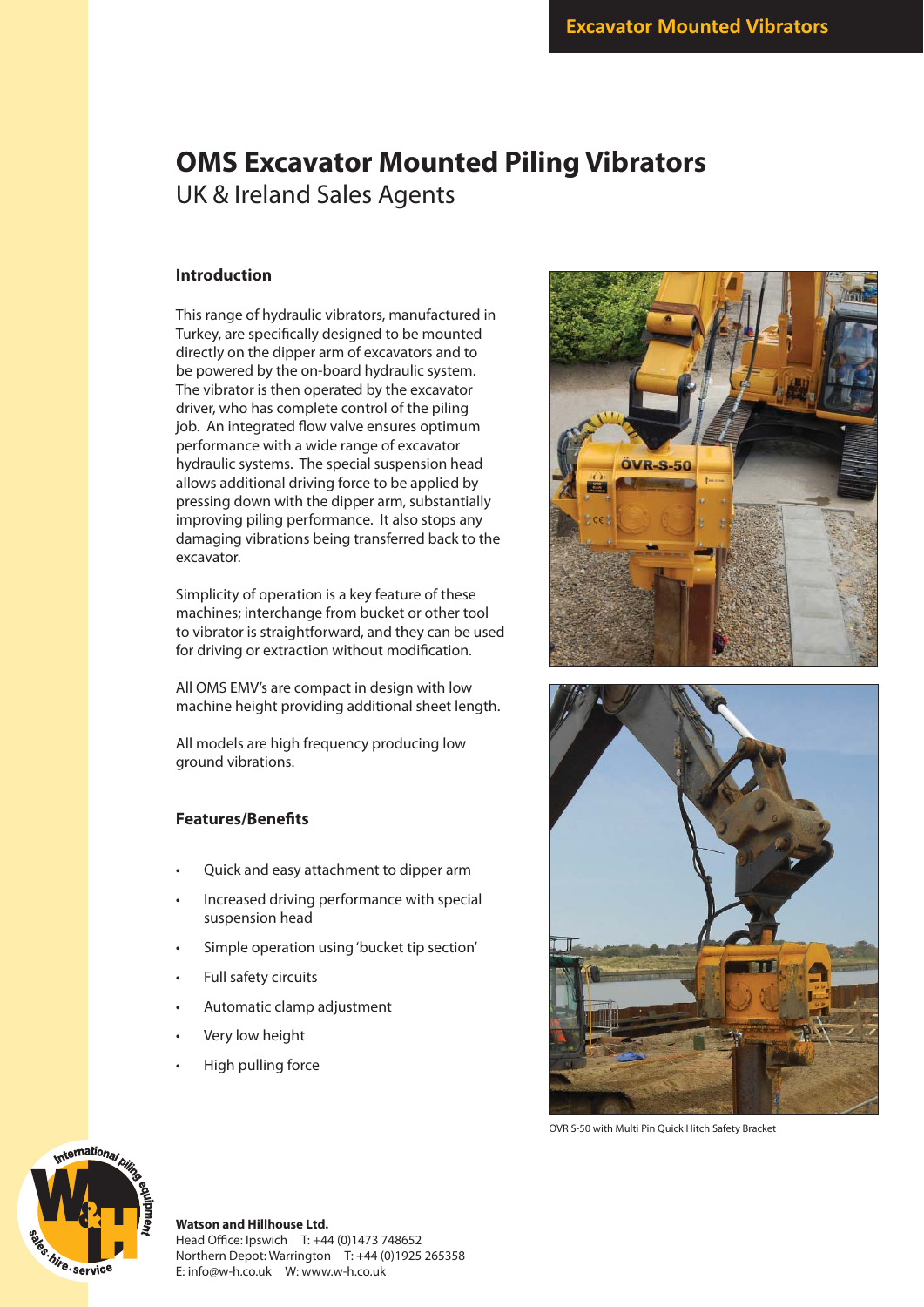## **OMS Excavator Mounted Piling Vibrators** UK & Ireland Sales Agents

### **Introduction**

This range of hydraulic vibrators, manufactured in Turkey, are specifically designed to be mounted directly on the dipper arm of excavators and to be powered by the on-board hydraulic system. The vibrator is then operated by the excavator driver, who has complete control of the piling job. An integrated flow valve ensures optimum performance with a wide range of excavator hydraulic systems. The special suspension head allows additional driving force to be applied by pressing down with the dipper arm, substantially improving piling performance. It also stops any damaging vibrations being transferred back to the excavator.

Simplicity of operation is a key feature of these machines; interchange from bucket or other tool to vibrator is straightforward, and they can be used for driving or extraction without modification.

All OMS EMV's are compact in design with low machine height providing additional sheet length.

All models are high frequency producing low ground vibrations.

#### **Features/Benefits**

- Quick and easy attachment to dipper arm
- Increased driving performance with special suspension head
- Simple operation using 'bucket tip section'
- Full safety circuits
- Automatic clamp adjustment
- Very low height
- High pulling force





OVR S-50 with Multi Pin Quick Hitch Safety Bracket



### **Watson and Hillhouse Ltd.**

Head Office: Ipswich T: +44 (0)1473 748652 Northern Depot: Warrington T: +44 (0)1925 265358 E: info@w-h.co.uk W: www.w-h.co.uk